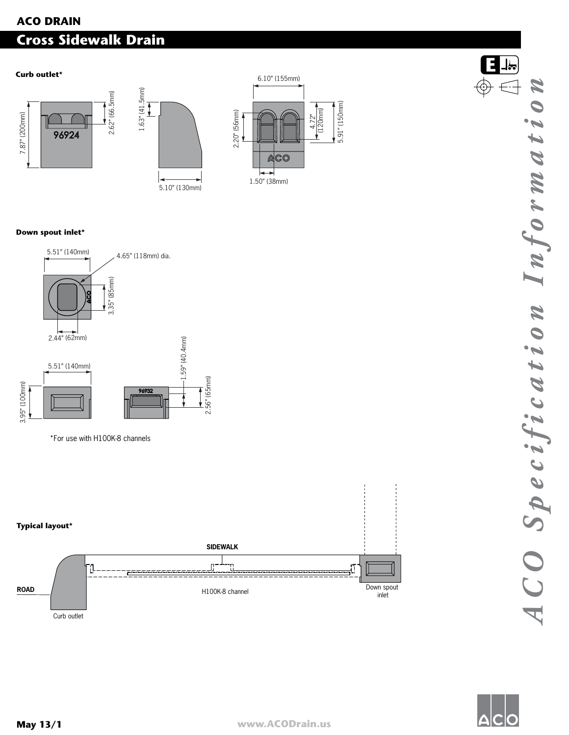# **ACO DRAIN Cross Sidewalk Drain**





### **Down spout inlet\***



\*For use with H100K-8 channels



Curb outlet



**E**